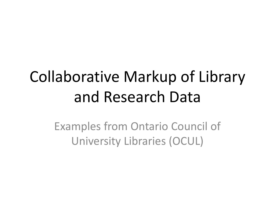### Collaborative Markup of Library and Research Data

Examples from Ontario Council of University Libraries (OCUL)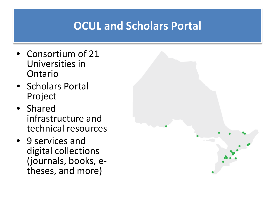### **OCUL and Scholars Portal**

- Consortium of 21 Universities in Ontario
- Scholars Portal Project
- Shared infrastructure and technical resources
- 9 services and digital collections (journals, books, e-<br>theses, and more)

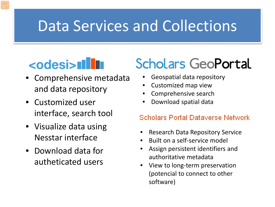### Data Services and Collections

### <odesi>**Illu**

- Comprehensive metadata and data repository
- Customized user interface, search tool
- Visualize data using Nesstar interface
- Download data for autheticated users

### **Scholars GeoPortal**

- Geospatial data repository
- Customized map view
- Comprehensive search
- Download spatial data

#### **Scholars Portal Dataverse Network**

- Research Data Repository Service
- Built on a self-service model
- Assign persistent identifiers and authoritative metadata
- View to long-term preservation (potencial to connect to other software)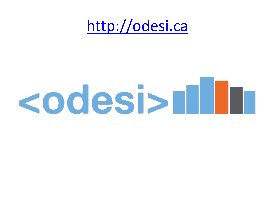### [http://odesi.ca](http://odesi.ca/)

# **codesi>n III**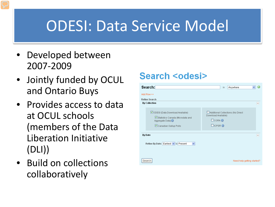### ODESI: Data Service Model

- Developed between 2007-2009
- Jointly funded by OCUL and Ontario Buys
- Provides access to data at OCUL schools (members of the Data Liberation Initiative (DLI))
- Build on collections collaboratively

#### **Search <odesi>**

| Search:                                                                                                                   | in<br>Anywhere                                                                                          |  |  |  |
|---------------------------------------------------------------------------------------------------------------------------|---------------------------------------------------------------------------------------------------------|--|--|--|
| Add Row >>                                                                                                                |                                                                                                         |  |  |  |
| <b>Refine Search</b><br><b>By Collection</b>                                                                              | $\overline{\phantom{0}}$                                                                                |  |  |  |
| ☑ODESI (Data Download Available)<br>Statistics Canada (Microdata and<br>Aggregate Data) <b>O</b><br>Canadian Gallup Polls | Additional Collections (No Direct<br>Download Available)<br>$CORA$ <sup>O</sup><br>$\Box$ ICPSR $\odot$ |  |  |  |
| <b>By Date</b><br>Refine By Date: Earliest v to Present<br>v                                                              | $\overline{\phantom{0}}$                                                                                |  |  |  |
| Search<br>Need help getting started?                                                                                      |                                                                                                         |  |  |  |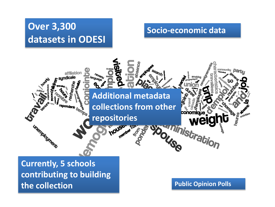#### **Over 3,300 datasets in ODESI**

#### **Socio-economic data**



**the collection**

**Public Opinion Polls**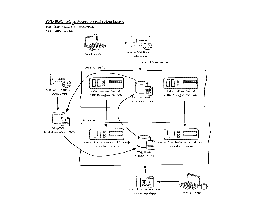#### ODESI System Architecture

Detailed Version - Internal February 2013

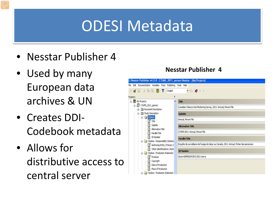### ODESI Metadata

- Nesstar Publisher 4
- Used by many European data archives & UN
- Creates DDI-Codebook metadata
- Allows for distributive access to central server

#### **Nesstar Publisher 4**

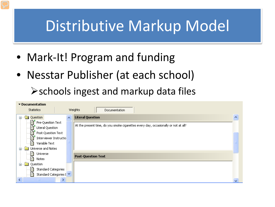### Distributive Markup Model

- Mark-It! Program and funding
- Nesstar Publisher (at each school)

schools ingest and markup data files

| ▼ Documentation                               |  |                                                                                     |  |  |
|-----------------------------------------------|--|-------------------------------------------------------------------------------------|--|--|
| Weights<br><b>Statistics</b><br>Documentation |  |                                                                                     |  |  |
| Question<br>o.                                |  | <b>Literal Question</b>                                                             |  |  |
| ि Pre-Question Text                           |  |                                                                                     |  |  |
| 目<br>Literal Question                         |  | At the present time, do you smoke cigarettes every day, occasionally or not at all? |  |  |
| R<br>Post-Question Text                       |  |                                                                                     |  |  |
| E.<br>Interviewer Instructio                  |  |                                                                                     |  |  |
| EÌ<br>Variable Text                           |  |                                                                                     |  |  |
| Universe and Notes                            |  |                                                                                     |  |  |
| Universe<br>Ħ                                 |  |                                                                                     |  |  |
| Ħ<br>Notes                                    |  | <b>Post-Question Text</b>                                                           |  |  |
| Question                                      |  |                                                                                     |  |  |
| Standard Categories<br>Ħ                      |  |                                                                                     |  |  |
| Standard Categories [ $\vee$<br>雪             |  |                                                                                     |  |  |
| HH .                                          |  |                                                                                     |  |  |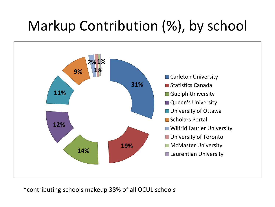### Markup Contribution (%), by school



\*contributing schools makeup 38% of all OCUL schools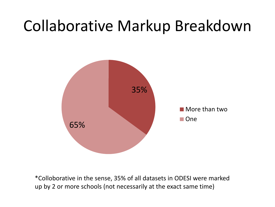### Collaborative Markup Breakdown



\*Colloborative in the sense, 35% of all datasets in ODESI were marked up by 2 or more schools (not necessarily at the exact same time)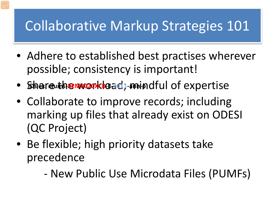### Collaborative Markup Strategies 101

- Adhere to established best practises wherever possible; consistency is important!
- · Share the word khoad; mindful of expertise
- Collaborate to improve records; including marking up files that already exist on ODESI (QC Project)
- Be flexible; high priority datasets take precedence
	- New Public Use Microdata Files (PUMFs)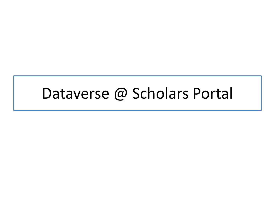### Dataverse @ Scholars Portal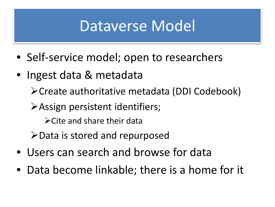### Dataverse Model

- Self-service model; open to researchers
- Ingest data & metadata

Create authoritative metadata (DDI Codebook)

Assign persistent identifiers;

 $\triangleright$  Cite and share their data

 $\blacktriangleright$  Data is stored and repurposed

- Users can search and browse for data
- Data become linkable; there is a home for it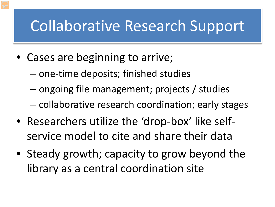### Collaborative Research Support

- Cases are beginning to arrive;
	- one-time deposits; finished studies
	- ongoing file management; projects / studies
	- collaborative research coordination; early stages
- Researchers utilize the 'drop-box' like selfservice model to cite and share their data
- Steady growth; capacity to grow beyond the library as a central coordination site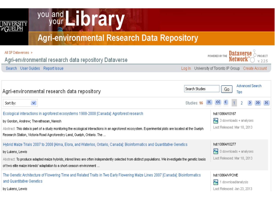

## you and Library

#### **Agri-environmental Research Data Repository**

| All SP Dataverses ><br>Agri-environmental research data repository Dataverse                                                                                                                                                                                                                                                                                                  |                | POWERED BY THE Dataverse<br>v 225                                             |
|-------------------------------------------------------------------------------------------------------------------------------------------------------------------------------------------------------------------------------------------------------------------------------------------------------------------------------------------------------------------------------|----------------|-------------------------------------------------------------------------------|
| Search User Guides Report Issue                                                                                                                                                                                                                                                                                                                                               |                | Log In University of Toronto IP Group Create Account                          |
|                                                                                                                                                                                                                                                                                                                                                                               |                |                                                                               |
| Agri-environmental research data repository                                                                                                                                                                                                                                                                                                                                   | Search Studies | Advanced Search<br>Go.<br>Tips                                                |
| $\checkmark$<br>Sort By:                                                                                                                                                                                                                                                                                                                                                      | Studies: 16    |                                                                               |
| Ecological interactions in agroforest ecosystems 1988-2008 [Canada]: Agroforest research<br>by Gordon, Andrew; Thevathasan, Naresh<br>Abstract: This data is part of a study monitoring the ecological interactions in an agroforest ecosystem. Experimental plots are located at the Guelph<br>Research Station, Victoria Road Agroforestry Land, Guelph, Ontario. The       |                | hdl:10864/10167<br>₩<br>3 downloads + analyses<br>Last Released: Mar 18, 2013 |
| Hybrid Maize Trials 2007 to 2008 [Alma, Elora, and Waterloo, Ontario, Canada]: Bioinformatics and Quantitative Genetics.<br>by Lukens, Lewis<br>Abstract: To produce adapted maize hybrids, inbred lines are often independently selected from distinct populations. We investigate the genetic basis<br>of two elite maize inbreds' adaptation to a short-season environment |                | hdl:10864/10277<br>₩<br>0 downloads + analyses<br>Last Released: Mar 18, 2013 |
| The Genetic Architecture of Flowering Time and Related Traits in Two Early Flowering Maize Lines 2007 [Canada]: Bioinformatics<br>and Quantitative Genetics<br>by Lukens, Lewis                                                                                                                                                                                               |                | hdl:10864/VPCWE<br>₩<br>download/analysis<br>Last Released: Jan 23, 2013      |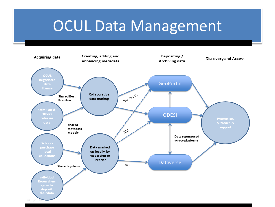### OCUL Data Management

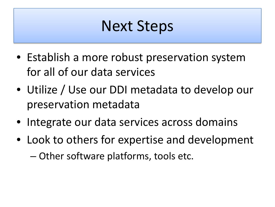### Next Steps

- Establish a more robust preservation system for all of our data services
- Utilize / Use our DDI metadata to develop our preservation metadata
- Integrate our data services across domains
- Look to others for expertise and development – Other software platforms, tools etc.